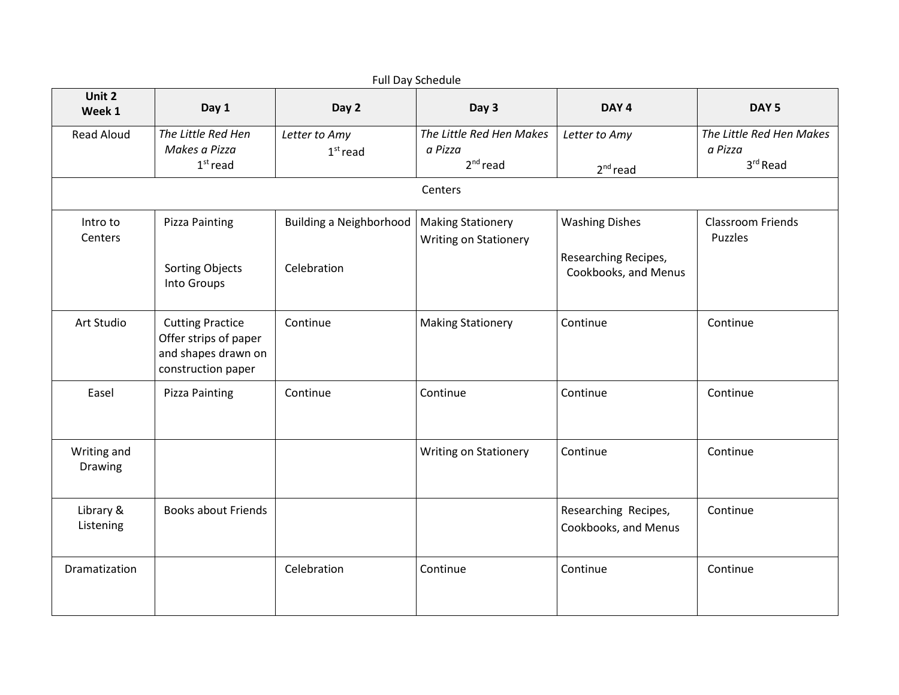| Full Day Schedule      |                                                                                               |                                                            |                                                   |                                                                       |                                                 |  |
|------------------------|-----------------------------------------------------------------------------------------------|------------------------------------------------------------|---------------------------------------------------|-----------------------------------------------------------------------|-------------------------------------------------|--|
| Unit 2<br>Week 1       | Day 1                                                                                         | Day 2                                                      | Day 3                                             | DAY <sub>4</sub>                                                      | DAY <sub>5</sub>                                |  |
| <b>Read Aloud</b>      | The Little Red Hen<br>Makes a Pizza<br>$1st$ read                                             | Letter to Amy<br>$1st$ read                                | The Little Red Hen Makes<br>a Pizza<br>$2nd$ read | Letter to Amy<br>$2nd$ read                                           | The Little Red Hen Makes<br>a Pizza<br>3rd Read |  |
| Centers                |                                                                                               |                                                            |                                                   |                                                                       |                                                 |  |
| Intro to<br>Centers    | <b>Pizza Painting</b><br>Sorting Objects<br>Into Groups                                       | Building a Neighborhood   Making Stationery<br>Celebration | <b>Writing on Stationery</b>                      | <b>Washing Dishes</b><br>Researching Recipes,<br>Cookbooks, and Menus | <b>Classroom Friends</b><br>Puzzles             |  |
| Art Studio             | <b>Cutting Practice</b><br>Offer strips of paper<br>and shapes drawn on<br>construction paper | Continue                                                   | <b>Making Stationery</b>                          | Continue                                                              | Continue                                        |  |
| Easel                  | <b>Pizza Painting</b>                                                                         | Continue                                                   | Continue                                          | Continue                                                              | Continue                                        |  |
| Writing and<br>Drawing |                                                                                               |                                                            | <b>Writing on Stationery</b>                      | Continue                                                              | Continue                                        |  |
| Library &<br>Listening | <b>Books about Friends</b>                                                                    |                                                            |                                                   | Researching Recipes,<br>Cookbooks, and Menus                          | Continue                                        |  |
| Dramatization          |                                                                                               | Celebration                                                | Continue                                          | Continue                                                              | Continue                                        |  |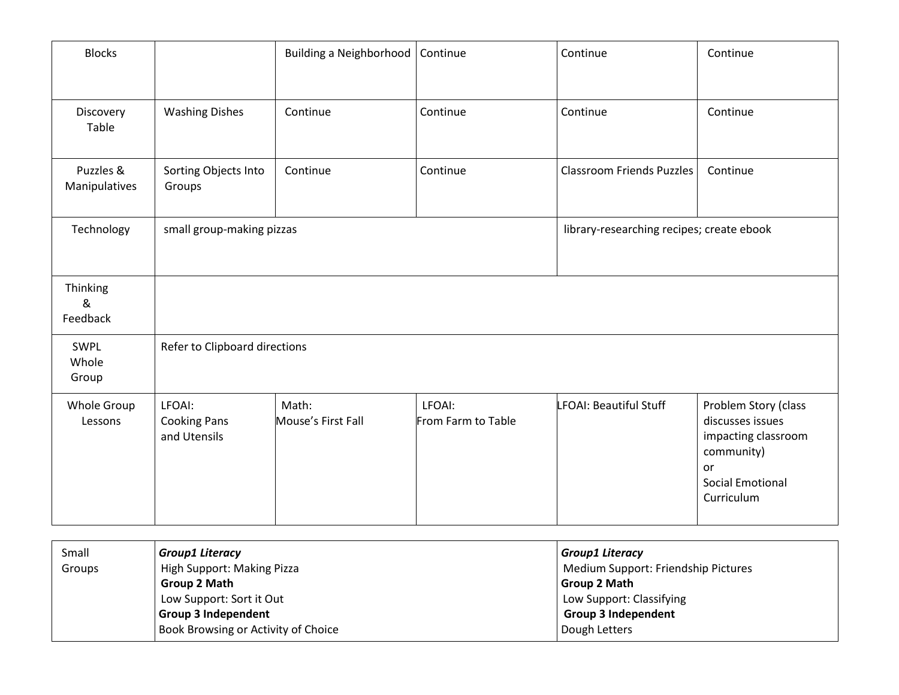| <b>Blocks</b>              |                                               | <b>Building a Neighborhood</b> | Continue                     | Continue                                  | Continue                                                                                                                     |
|----------------------------|-----------------------------------------------|--------------------------------|------------------------------|-------------------------------------------|------------------------------------------------------------------------------------------------------------------------------|
| Discovery<br>Table         | <b>Washing Dishes</b>                         | Continue                       | Continue                     | Continue                                  | Continue                                                                                                                     |
| Puzzles &<br>Manipulatives | Sorting Objects Into<br>Groups                | Continue                       | Continue                     | <b>Classroom Friends Puzzles</b>          | Continue                                                                                                                     |
| Technology                 | small group-making pizzas                     |                                |                              | library-researching recipes; create ebook |                                                                                                                              |
| Thinking<br>&<br>Feedback  |                                               |                                |                              |                                           |                                                                                                                              |
| SWPL<br>Whole<br>Group     | Refer to Clipboard directions                 |                                |                              |                                           |                                                                                                                              |
| Whole Group<br>Lessons     | LFOAI:<br><b>Cooking Pans</b><br>and Utensils | Math:<br>Mouse's First Fall    | LFOAI:<br>From Farm to Table | LFOAI: Beautiful Stuff                    | Problem Story (class<br>discusses issues<br>impacting classroom<br>community)<br>or<br><b>Social Emotional</b><br>Curriculum |

| Small         | <b>Group1 Literacy</b>              | Group1 Literacy                     |  |
|---------------|-------------------------------------|-------------------------------------|--|
| <b>Groups</b> | High Support: Making Pizza          | Medium Support: Friendship Pictures |  |
|               | Group 2 Math                        | Group 2 Math                        |  |
|               | Low Support: Sort it Out            | Low Support: Classifying            |  |
|               | <b>Group 3 Independent</b>          | <b>Group 3 Independent</b>          |  |
|               | Book Browsing or Activity of Choice | Dough Letters                       |  |